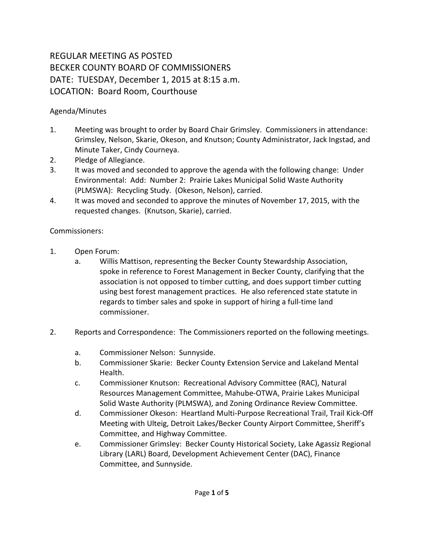## REGULAR MEETING AS POSTED BECKER COUNTY BOARD OF COMMISSIONERS DATE: TUESDAY, December 1, 2015 at 8:15 a.m. LOCATION: Board Room, Courthouse

## Agenda/Minutes

- 1. Meeting was brought to order by Board Chair Grimsley. Commissioners in attendance: Grimsley, Nelson, Skarie, Okeson, and Knutson; County Administrator, Jack Ingstad, and Minute Taker, Cindy Courneya.
- 2. Pledge of Allegiance.
- 3. It was moved and seconded to approve the agenda with the following change: Under Environmental: Add: Number 2: Prairie Lakes Municipal Solid Waste Authority (PLMSWA): Recycling Study. (Okeson, Nelson), carried.
- 4. It was moved and seconded to approve the minutes of November 17, 2015, with the requested changes. (Knutson, Skarie), carried.

## Commissioners:

- 1. Open Forum:
	- a. Willis Mattison, representing the Becker County Stewardship Association, spoke in reference to Forest Management in Becker County, clarifying that the association is not opposed to timber cutting, and does support timber cutting using best forest management practices. He also referenced state statute in regards to timber sales and spoke in support of hiring a full-time land commissioner.
- 2. Reports and Correspondence: The Commissioners reported on the following meetings.
	- a. Commissioner Nelson: Sunnyside.
	- b. Commissioner Skarie: Becker County Extension Service and Lakeland Mental Health.
	- c. Commissioner Knutson: Recreational Advisory Committee (RAC), Natural Resources Management Committee, Mahube-OTWA, Prairie Lakes Municipal Solid Waste Authority (PLMSWA), and Zoning Ordinance Review Committee.
	- d. Commissioner Okeson: Heartland Multi-Purpose Recreational Trail, Trail Kick-Off Meeting with Ulteig, Detroit Lakes/Becker County Airport Committee, Sheriff's Committee, and Highway Committee.
	- e. Commissioner Grimsley: Becker County Historical Society, Lake Agassiz Regional Library (LARL) Board, Development Achievement Center (DAC), Finance Committee, and Sunnyside.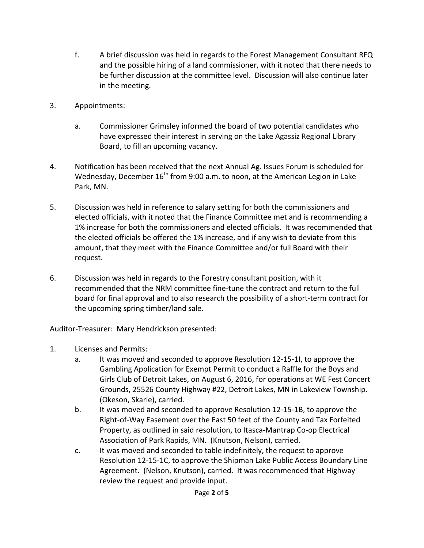- f. A brief discussion was held in regards to the Forest Management Consultant RFQ and the possible hiring of a land commissioner, with it noted that there needs to be further discussion at the committee level. Discussion will also continue later in the meeting.
- 3. Appointments:
	- a. Commissioner Grimsley informed the board of two potential candidates who have expressed their interest in serving on the Lake Agassiz Regional Library Board, to fill an upcoming vacancy.
- 4. Notification has been received that the next Annual Ag. Issues Forum is scheduled for Wednesday, December  $16^{th}$  from 9:00 a.m. to noon, at the American Legion in Lake Park, MN.
- 5. Discussion was held in reference to salary setting for both the commissioners and elected officials, with it noted that the Finance Committee met and is recommending a 1% increase for both the commissioners and elected officials. It was recommended that the elected officials be offered the 1% increase, and if any wish to deviate from this amount, that they meet with the Finance Committee and/or full Board with their request.
- 6. Discussion was held in regards to the Forestry consultant position, with it recommended that the NRM committee fine-tune the contract and return to the full board for final approval and to also research the possibility of a short-term contract for the upcoming spring timber/land sale.

Auditor-Treasurer: Mary Hendrickson presented:

- 1. Licenses and Permits:
	- a. It was moved and seconded to approve Resolution 12-15-1I, to approve the Gambling Application for Exempt Permit to conduct a Raffle for the Boys and Girls Club of Detroit Lakes, on August 6, 2016, for operations at WE Fest Concert Grounds, 25526 County Highway #22, Detroit Lakes, MN in Lakeview Township. (Okeson, Skarie), carried.
	- b. It was moved and seconded to approve Resolution 12-15-1B, to approve the Right-of-Way Easement over the East 50 feet of the County and Tax Forfeited Property, as outlined in said resolution, to Itasca-Mantrap Co-op Electrical Association of Park Rapids, MN. (Knutson, Nelson), carried.
	- c. It was moved and seconded to table indefinitely, the request to approve Resolution 12-15-1C, to approve the Shipman Lake Public Access Boundary Line Agreement. (Nelson, Knutson), carried. It was recommended that Highway review the request and provide input.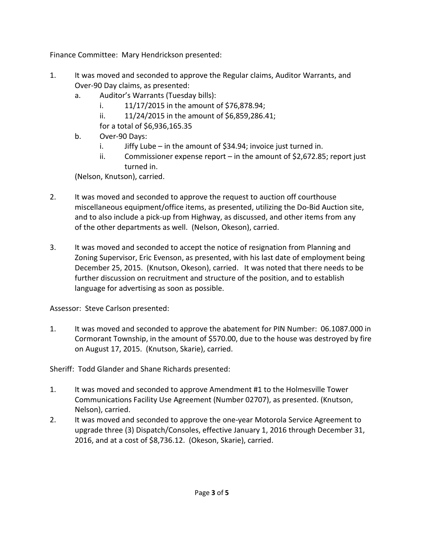Finance Committee: Mary Hendrickson presented:

- 1. It was moved and seconded to approve the Regular claims, Auditor Warrants, and Over-90 Day claims, as presented:
	- a. Auditor's Warrants (Tuesday bills):
		- i. 11/17/2015 in the amount of \$76,878.94;
		- ii. 11/24/2015 in the amount of \$6,859,286.41;

for a total of \$6,936,165.35

- b. Over-90 Days:
	- i. Jiffy Lube in the amount of \$34.94; invoice just turned in.
	- ii. Commissioner expense report in the amount of \$2,672.85; report just turned in.

(Nelson, Knutson), carried.

- 2. It was moved and seconded to approve the request to auction off courthouse miscellaneous equipment/office items, as presented, utilizing the Do-Bid Auction site, and to also include a pick-up from Highway, as discussed, and other items from any of the other departments as well. (Nelson, Okeson), carried.
- 3. It was moved and seconded to accept the notice of resignation from Planning and Zoning Supervisor, Eric Evenson, as presented, with his last date of employment being December 25, 2015. (Knutson, Okeson), carried. It was noted that there needs to be further discussion on recruitment and structure of the position, and to establish language for advertising as soon as possible.

Assessor: Steve Carlson presented:

1. It was moved and seconded to approve the abatement for PIN Number: 06.1087.000 in Cormorant Township, in the amount of \$570.00, due to the house was destroyed by fire on August 17, 2015. (Knutson, Skarie), carried.

Sheriff: Todd Glander and Shane Richards presented:

- 1. It was moved and seconded to approve Amendment #1 to the Holmesville Tower Communications Facility Use Agreement (Number 02707), as presented. (Knutson, Nelson), carried.
- 2. It was moved and seconded to approve the one-year Motorola Service Agreement to upgrade three (3) Dispatch/Consoles, effective January 1, 2016 through December 31, 2016, and at a cost of \$8,736.12. (Okeson, Skarie), carried.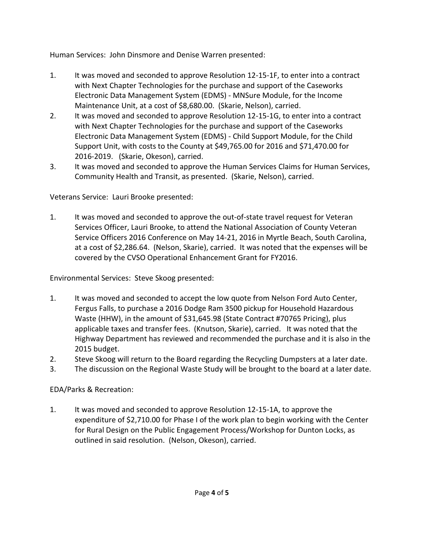Human Services: John Dinsmore and Denise Warren presented:

- 1. It was moved and seconded to approve Resolution 12-15-1F, to enter into a contract with Next Chapter Technologies for the purchase and support of the Caseworks Electronic Data Management System (EDMS) - MNSure Module, for the Income Maintenance Unit, at a cost of \$8,680.00. (Skarie, Nelson), carried.
- 2. It was moved and seconded to approve Resolution 12-15-1G, to enter into a contract with Next Chapter Technologies for the purchase and support of the Caseworks Electronic Data Management System (EDMS) - Child Support Module, for the Child Support Unit, with costs to the County at \$49,765.00 for 2016 and \$71,470.00 for 2016-2019. (Skarie, Okeson), carried.
- 3. It was moved and seconded to approve the Human Services Claims for Human Services, Community Health and Transit, as presented. (Skarie, Nelson), carried.

Veterans Service: Lauri Brooke presented:

1. It was moved and seconded to approve the out-of-state travel request for Veteran Services Officer, Lauri Brooke, to attend the National Association of County Veteran Service Officers 2016 Conference on May 14-21, 2016 in Myrtle Beach, South Carolina, at a cost of \$2,286.64. (Nelson, Skarie), carried. It was noted that the expenses will be covered by the CVSO Operational Enhancement Grant for FY2016.

Environmental Services: Steve Skoog presented:

- 1. It was moved and seconded to accept the low quote from Nelson Ford Auto Center, Fergus Falls, to purchase a 2016 Dodge Ram 3500 pickup for Household Hazardous Waste (HHW), in the amount of \$31,645.98 (State Contract #70765 Pricing), plus applicable taxes and transfer fees. (Knutson, Skarie), carried. It was noted that the Highway Department has reviewed and recommended the purchase and it is also in the 2015 budget.
- 2. Steve Skoog will return to the Board regarding the Recycling Dumpsters at a later date.
- 3. The discussion on the Regional Waste Study will be brought to the board at a later date.

EDA/Parks & Recreation:

1. It was moved and seconded to approve Resolution 12-15-1A, to approve the expenditure of \$2,710.00 for Phase I of the work plan to begin working with the Center for Rural Design on the Public Engagement Process/Workshop for Dunton Locks, as outlined in said resolution. (Nelson, Okeson), carried.